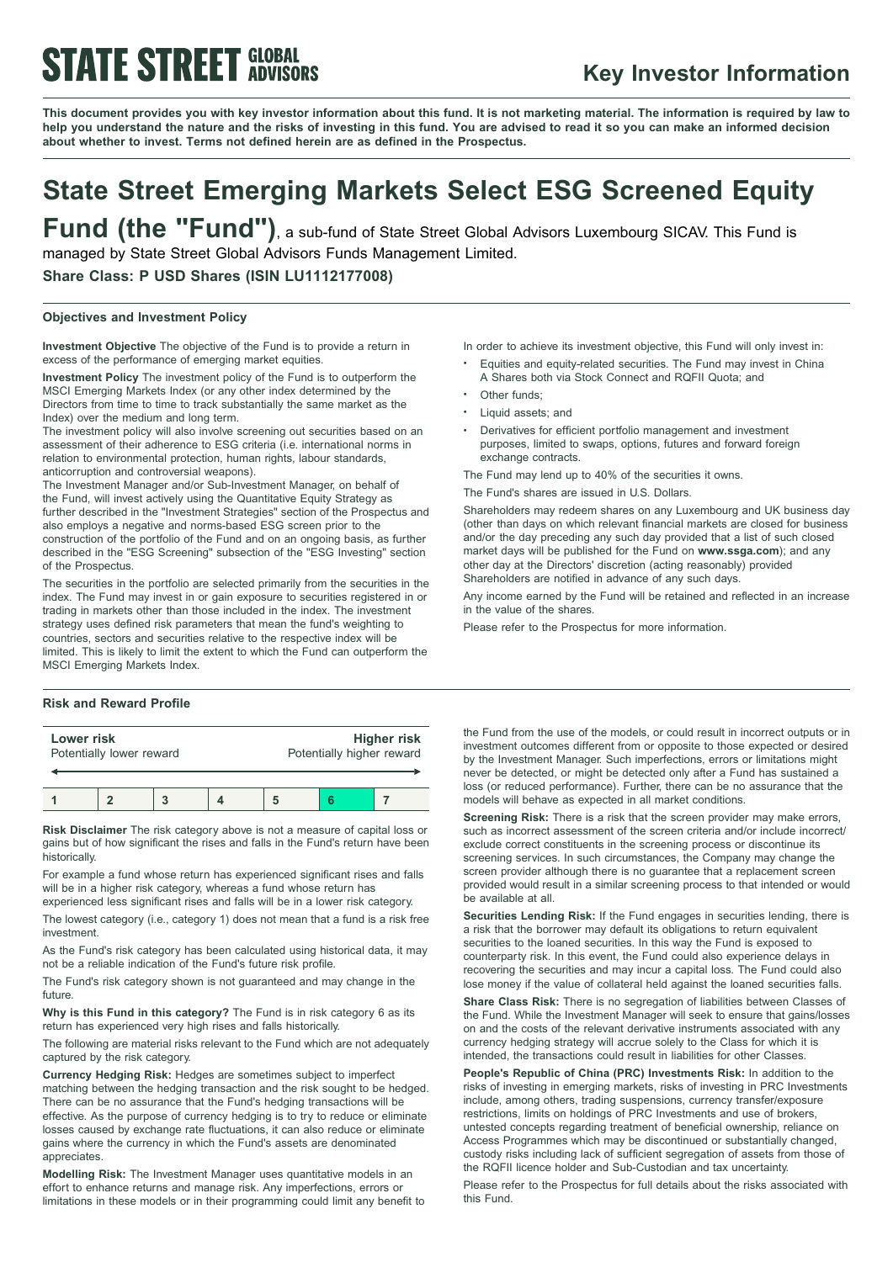# **STATE STREET GLOBAL**

### **Key Investor Information**

This document provides you with key investor information about this fund. It is not marketing material. The information is required by law to help you understand the nature and the risks of investing in this fund. You are advised to read it so you can make an informed decision **about whether to invest. Terms not defined herein are as defined in the Prospectus.**

### **State Street Emerging Markets Select ESG Screened Equity**

**Fund (the "Fund")**, <sup>a</sup> sub-fund of State Street Global Advisors Luxembourg SICAV. This Fund is managed by State Street Global Advisors Funds Management Limited.

**Share Class: P USD Shares (ISIN LU1112177008)**

### **Objectives and Investment Policy**

**Investment Objective** The objective of the Fund is to provide a return in excess of the performance of emerging market equities.

**Investment Policy** The investment policy of the Fund is to outperform the MSCI Emerging Markets Index (or any other index determined by the Directors from time to time to track substantially the same market as the Index) over the medium and long term.

The investment policy will also involve screening out securities based on an assessment of their adherence to ESG criteria (i.e. international norms in relation to environmental protection, human rights, labour standards, anticorruption and controversial weapons).

The Investment Manager and/or Sub-Investment Manager, on behalf of the Fund, will invest actively using the Quantitative Equity Strategy as further described in the "Investment Strategies" section of the Prospectus and also employs a negative and norms-based ESG screen prior to the construction of the portfolio of the Fund and on an ongoing basis, as further described in the "ESG Screening" subsection of the "ESG Investing" section of the Prospectus.

The securities in the portfolio are selected primarily from the securities in the index. The Fund may invest in or gain exposure to securities registered in or trading in markets other than those included in the index. The investment strategy uses defined risk parameters that mean the fund's weighting to countries, sectors and securities relative to the respective index will be limited. This is likely to limit the extent to which the Fund can outperform the MSCI Emerging Markets Index.

### **Risk and Reward Profile**

| Lower risk | Potentially lower reward |  | Potentially higher reward | <b>Higher risk</b> |
|------------|--------------------------|--|---------------------------|--------------------|
|            |                          |  |                           |                    |

**Risk Disclaimer** The risk category above is not a measure of capital loss or gains but of how significant the rises and falls in the Fund's return have been historically.

For example a fund whose return has experienced significant rises and falls will be in a higher risk category, whereas a fund whose return has

experienced less significant rises and falls will be in a lower risk category. The lowest category (i.e., category 1) does not mean that a fund is a risk free investment.

As the Fund's risk category has been calculated using historical data, it may not be a reliable indication of the Fund's future risk profile.

The Fund's risk category shown is not guaranteed and may change in the future.

**Why is this Fund in this category?** The Fund is in risk category 6 as its return has experienced very high rises and falls historically.

The following are material risks relevant to the Fund which are not adequately captured by the risk category.

**Currency Hedging Risk:** Hedges are sometimes subject to imperfect matching between the hedging transaction and the risk sought to be hedged. There can be no assurance that the Fund's hedging transactions will be effective. As the purpose of currency hedging is to try to reduce or eliminate losses caused by exchange rate fluctuations, it can also reduce or eliminate gains where the currency in which the Fund's assets are denominated appreciates.

**Modelling Risk:** The Investment Manager uses quantitative models in an effort to enhance returns and manage risk. Any imperfections, errors or limitations in these models or in their programming could limit any benefit to In order to achieve its investment objective, this Fund will only invest in:

- <sup>b</sup> Equities and equity-related securities. The Fund may invest in China A Shares both via Stock Connect and RQFII Quota; and
- Other funds;
- Liquid assets; and
- <sup>b</sup> Derivatives for efficient portfolio management and investment purposes, limited to swaps, options, futures and forward foreign exchange contracts.

The Fund may lend up to 40% of the securities it owns.

The Fund's shares are issued in U.S. Dollars.

Shareholders may redeem shares on any Luxembourg and UK business day (other than days on which relevant financial markets are closed for business and/or the day preceding any such day provided that a list of such closed market days will be published for the Fund on **www.ssga.com**); and any other day at the Directors' discretion (acting reasonably) provided Shareholders are notified in advance of any such days.

Any income earned by the Fund will be retained and reflected in an increase in the value of the shares.

Please refer to the Prospectus for more information.

the Fund from the use of the models, or could result in incorrect outputs or in investment outcomes different from or opposite to those expected or desired by the Investment Manager. Such imperfections, errors or limitations might never be detected, or might be detected only after a Fund has sustained a loss (or reduced performance). Further, there can be no assurance that the models will behave as expected in all market conditions.

**Screening Risk:** There is a risk that the screen provider may make errors, such as incorrect assessment of the screen criteria and/or include incorrect/ exclude correct constituents in the screening process or discontinue its screening services. In such circumstances, the Company may change the screen provider although there is no guarantee that a replacement screen provided would result in a similar screening process to that intended or would be available at all.

**Securities Lending Risk:** If the Fund engages in securities lending, there is a risk that the borrower may default its obligations to return equivalent securities to the loaned securities. In this way the Fund is exposed to counterparty risk. In this event, the Fund could also experience delays in recovering the securities and may incur a capital loss. The Fund could also lose money if the value of collateral held against the loaned securities falls.

**Share Class Risk:** There is no segregation of liabilities between Classes of the Fund. While the Investment Manager will seek to ensure that gains/losses on and the costs of the relevant derivative instruments associated with any currency hedging strategy will accrue solely to the Class for which it is intended, the transactions could result in liabilities for other Classes.

**People's Republic of China (PRC) Investments Risk:** In addition to the risks of investing in emerging markets, risks of investing in PRC Investments include, among others, trading suspensions, currency transfer/exposure restrictions, limits on holdings of PRC Investments and use of brokers, untested concepts regarding treatment of beneficial ownership, reliance on Access Programmes which may be discontinued or substantially changed, custody risks including lack of sufficient segregation of assets from those of the RQFII licence holder and Sub-Custodian and tax uncertainty.

Please refer to the Prospectus for full details about the risks associated with this Fund.